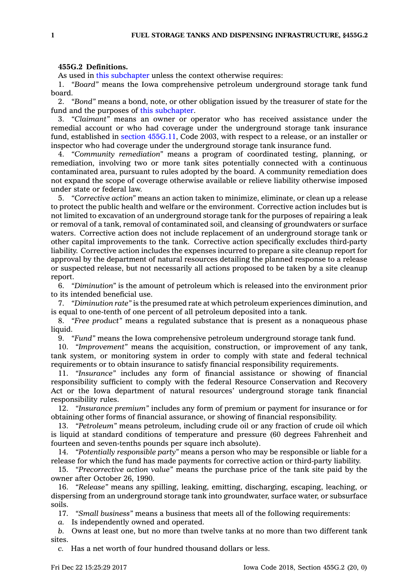## **455G.2 Definitions.**

As used in this [subchapter](https://www.legis.iowa.gov/docs/code//455G.pdf) unless the context otherwise requires:

1. *"Board"* means the Iowa comprehensive petroleum underground storage tank fund board.

2. *"Bond"* means <sup>a</sup> bond, note, or other obligation issued by the treasurer of state for the fund and the purposes of this [subchapter](https://www.legis.iowa.gov/docs/code//455G.pdf).

3. *"Claimant"* means an owner or operator who has received assistance under the remedial account or who had coverage under the underground storage tank insurance fund, established in section [455G.11](https://www.legis.iowa.gov/docs/code/455G.11.pdf), Code 2003, with respect to <sup>a</sup> release, or an installer or inspector who had coverage under the underground storage tank insurance fund.

4. *"Community remediation"* means <sup>a</sup> program of coordinated testing, planning, or remediation, involving two or more tank sites potentially connected with <sup>a</sup> continuous contaminated area, pursuant to rules adopted by the board. A community remediation does not expand the scope of coverage otherwise available or relieve liability otherwise imposed under state or federal law.

5. *"Corrective action"* means an action taken to minimize, eliminate, or clean up <sup>a</sup> release to protect the public health and welfare or the environment. Corrective action includes but is not limited to excavation of an underground storage tank for the purposes of repairing <sup>a</sup> leak or removal of <sup>a</sup> tank, removal of contaminated soil, and cleansing of groundwaters or surface waters. Corrective action does not include replacement of an underground storage tank or other capital improvements to the tank. Corrective action specifically excludes third-party liability. Corrective action includes the expenses incurred to prepare <sup>a</sup> site cleanup report for approval by the department of natural resources detailing the planned response to <sup>a</sup> release or suspected release, but not necessarily all actions proposed to be taken by <sup>a</sup> site cleanup report.

6. *"Diminution"* is the amount of petroleum which is released into the environment prior to its intended beneficial use.

7. *"Diminution rate"* is the presumed rate at which petroleum experiences diminution, and is equal to one-tenth of one percent of all petroleum deposited into <sup>a</sup> tank.

8. *"Free product"* means <sup>a</sup> regulated substance that is present as <sup>a</sup> nonaqueous phase liquid.

9. *"Fund"* means the Iowa comprehensive petroleum underground storage tank fund.

10. *"Improvement"* means the acquisition, construction, or improvement of any tank, tank system, or monitoring system in order to comply with state and federal technical requirements or to obtain insurance to satisfy financial responsibility requirements.

11. *"Insurance"* includes any form of financial assistance or showing of financial responsibility sufficient to comply with the federal Resource Conservation and Recovery Act or the Iowa department of natural resources' underground storage tank financial responsibility rules.

12. *"Insurance premium"* includes any form of premium or payment for insurance or for obtaining other forms of financial assurance, or showing of financial responsibility.

13. *"Petroleum"* means petroleum, including crude oil or any fraction of crude oil which is liquid at standard conditions of temperature and pressure (60 degrees Fahrenheit and fourteen and seven-tenths pounds per square inch absolute).

14. *"Potentially responsible party"* means <sup>a</sup> person who may be responsible or liable for <sup>a</sup> release for which the fund has made payments for corrective action or third-party liability.

15. *"Precorrective action value"* means the purchase price of the tank site paid by the owner after October 26, 1990.

16. *"Release"* means any spilling, leaking, emitting, discharging, escaping, leaching, or dispersing from an underground storage tank into groundwater, surface water, or subsurface soils.

17. *"Small business"* means <sup>a</sup> business that meets all of the following requirements:

*a.* Is independently owned and operated.

*b.* Owns at least one, but no more than twelve tanks at no more than two different tank sites.

*c.* Has <sup>a</sup> net worth of four hundred thousand dollars or less.